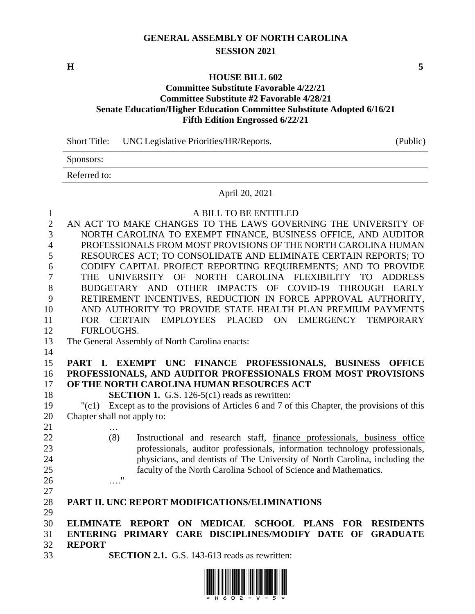# **GENERAL ASSEMBLY OF NORTH CAROLINA SESSION 2021**

**H 5**

#### **HOUSE BILL 602**

## **Committee Substitute Favorable 4/22/21 Committee Substitute #2 Favorable 4/28/21 Senate Education/Higher Education Committee Substitute Adopted 6/16/21 Fifth Edition Engrossed 6/22/21**

Short Title: UNC Legislative Priorities/HR/Reports. (Public)

Sponsors:

Referred to:

#### April 20, 2021

| $\mathbf{1}$   | A BILL TO BE ENTITLED                                                                            |
|----------------|--------------------------------------------------------------------------------------------------|
| $\overline{2}$ | AN ACT TO MAKE CHANGES TO THE LAWS GOVERNING THE UNIVERSITY OF                                   |
| 3              | NORTH CAROLINA TO EXEMPT FINANCE, BUSINESS OFFICE, AND AUDITOR                                   |
| $\overline{4}$ | PROFESSIONALS FROM MOST PROVISIONS OF THE NORTH CAROLINA HUMAN                                   |
| 5              | RESOURCES ACT; TO CONSOLIDATE AND ELIMINATE CERTAIN REPORTS; TO                                  |
| 6              | CODIFY CAPITAL PROJECT REPORTING REQUIREMENTS; AND TO PROVIDE                                    |
| 7              | UNIVERSITY OF NORTH CAROLINA FLEXIBILITY TO<br><b>ADDRESS</b><br>THE                             |
| 8              | BUDGETARY AND OTHER IMPACTS OF COVID-19 THROUGH EARLY                                            |
| 9              | RETIREMENT INCENTIVES, REDUCTION IN FORCE APPROVAL AUTHORITY,                                    |
| 10             | AND AUTHORITY TO PROVIDE STATE HEALTH PLAN PREMIUM PAYMENTS                                      |
| 11             | EMPLOYEES PLACED ON EMERGENCY TEMPORARY<br>FOR CERTAIN                                           |
| 12             | FURLOUGHS.                                                                                       |
| 13             | The General Assembly of North Carolina enacts:                                                   |
| 14             |                                                                                                  |
| 15             | PART I. EXEMPT UNC FINANCE PROFESSIONALS, BUSINESS OFFICE                                        |
| 16             | PROFESSIONALS, AND AUDITOR PROFESSIONALS FROM MOST PROVISIONS                                    |
| 17             | OF THE NORTH CAROLINA HUMAN RESOURCES ACT                                                        |
| 18             | <b>SECTION 1.</b> G.S. 126-5(c1) reads as rewritten:                                             |
| 19             | Except as to the provisions of Articles 6 and 7 of this Chapter, the provisions of this<br>"(c1) |
| 20             | Chapter shall not apply to:                                                                      |
| 21             |                                                                                                  |
| 22             | (8)<br>Instructional and research staff, finance professionals, business office                  |
| 23             | professionals, auditor professionals, information technology professionals,                      |
| 24             | physicians, and dentists of The University of North Carolina, including the                      |
| 25             | faculty of the North Carolina School of Science and Mathematics.                                 |
| 26             | $\ldots$ "                                                                                       |
| 27             |                                                                                                  |
| 28             | PART II. UNC REPORT MODIFICATIONS/ELIMINATIONS                                                   |
| 29             |                                                                                                  |
| 30             | ON MEDICAL SCHOOL PLANS FOR<br><b>ELIMINATE REPORT</b><br><b>RESIDENTS</b>                       |
| 31             | ENTERING PRIMARY CARE DISCIPLINES/MODIFY DATE OF<br><b>GRADUATE</b>                              |
| 32<br>33       | <b>REPORT</b><br><b>SECTION 2.1.</b> G.S. 143-613 reads as rewritten:                            |
|                |                                                                                                  |

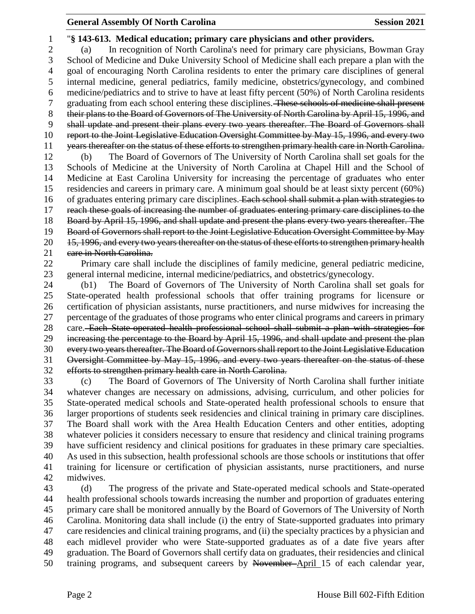## **General Assembly Of North Carolina Session 2021**

 "**§ 143-613. Medical education; primary care physicians and other providers.** (a) In recognition of North Carolina's need for primary care physicians, Bowman Gray School of Medicine and Duke University School of Medicine shall each prepare a plan with the goal of encouraging North Carolina residents to enter the primary care disciplines of general internal medicine, general pediatrics, family medicine, obstetrics/gynecology, and combined medicine/pediatrics and to strive to have at least fifty percent (50%) of North Carolina residents graduating from each school entering these disciplines. These schools of medicine shall present 8 their plans to the Board of Governors of The University of North Carolina by April 15, 1996, and shall update and present their plans every two years thereafter. The Board of Governors shall report to the Joint Legislative Education Oversight Committee by May 15, 1996, and every two 11 years thereafter on the status of these efforts to strengthen primary health care in North Carolina. (b) The Board of Governors of The University of North Carolina shall set goals for the Schools of Medicine at the University of North Carolina at Chapel Hill and the School of Medicine at East Carolina University for increasing the percentage of graduates who enter residencies and careers in primary care. A minimum goal should be at least sixty percent (60%) 16 of graduates entering primary care disciplines. Each school shall submit a plan with strategies to reach these goals of increasing the number of graduates entering primary care disciplines to the Board by April 15, 1996, and shall update and present the plans every two years thereafter. The Board of Governors shall report to the Joint Legislative Education Oversight Committee by May 20 15, 1996, and every two years thereafter on the status of these efforts to strengthen primary health 21 care in North Carolina.

 Primary care shall include the disciplines of family medicine, general pediatric medicine, general internal medicine, internal medicine/pediatrics, and obstetrics/gynecology.

 (b1) The Board of Governors of The University of North Carolina shall set goals for State-operated health professional schools that offer training programs for licensure or certification of physician assistants, nurse practitioners, and nurse midwives for increasing the percentage of the graduates of those programs who enter clinical programs and careers in primary 28 care. Each State operated health professional school shall submit a plan with strategies for increasing the percentage to the Board by April 15, 1996, and shall update and present the plan every two years thereafter. The Board of Governors shall report to the Joint Legislative Education Oversight Committee by May 15, 1996, and every two years thereafter on the status of these efforts to strengthen primary health care in North Carolina.

 (c) The Board of Governors of The University of North Carolina shall further initiate whatever changes are necessary on admissions, advising, curriculum, and other policies for State-operated medical schools and State-operated health professional schools to ensure that larger proportions of students seek residencies and clinical training in primary care disciplines. The Board shall work with the Area Health Education Centers and other entities, adopting whatever policies it considers necessary to ensure that residency and clinical training programs have sufficient residency and clinical positions for graduates in these primary care specialties. As used in this subsection, health professional schools are those schools or institutions that offer training for licensure or certification of physician assistants, nurse practitioners, and nurse midwives.

 (d) The progress of the private and State-operated medical schools and State-operated health professional schools towards increasing the number and proportion of graduates entering primary care shall be monitored annually by the Board of Governors of The University of North Carolina. Monitoring data shall include (i) the entry of State-supported graduates into primary care residencies and clinical training programs, and (ii) the specialty practices by a physician and each midlevel provider who were State-supported graduates as of a date five years after graduation. The Board of Governors shall certify data on graduates, their residencies and clinical training programs, and subsequent careers by November April 15 of each calendar year,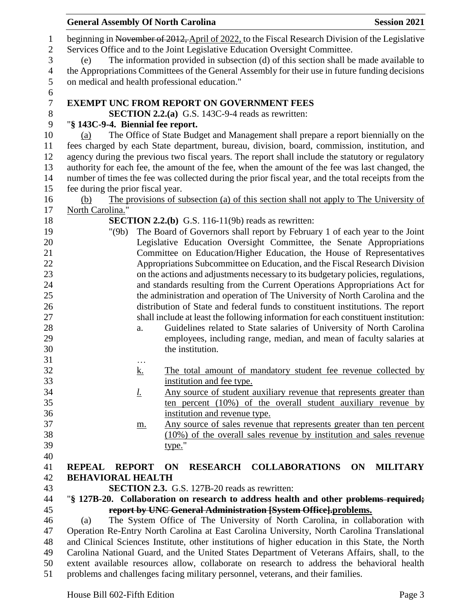| <b>General Assembly Of North Carolina</b>      |                                                                                                                                                                                    | <b>Session 2021</b>                                                    |
|------------------------------------------------|------------------------------------------------------------------------------------------------------------------------------------------------------------------------------------|------------------------------------------------------------------------|
|                                                | beginning in November of 2012, April of 2022, to the Fiscal Research Division of the Legislative                                                                                   |                                                                        |
|                                                | Services Office and to the Joint Legislative Education Oversight Committee.                                                                                                        |                                                                        |
| (e)                                            | The information provided in subsection (d) of this section shall be made available to                                                                                              |                                                                        |
|                                                | the Appropriations Committees of the General Assembly for their use in future funding decisions                                                                                    |                                                                        |
| on medical and health professional education." |                                                                                                                                                                                    |                                                                        |
|                                                | <b>EXEMPT UNC FROM REPORT ON GOVERNMENT FEES</b>                                                                                                                                   |                                                                        |
|                                                | <b>SECTION 2.2.(a)</b> G.S. 143C-9-4 reads as rewritten:                                                                                                                           |                                                                        |
| "§ 143C-9-4. Biennial fee report.              |                                                                                                                                                                                    |                                                                        |
| (a)                                            | The Office of State Budget and Management shall prepare a report biennially on the<br>fees charged by each State department, bureau, division, board, commission, institution, and |                                                                        |
|                                                | agency during the previous two fiscal years. The report shall include the statutory or regulatory                                                                                  |                                                                        |
|                                                | authority for each fee, the amount of the fee, when the amount of the fee was last changed, the                                                                                    |                                                                        |
|                                                | number of times the fee was collected during the prior fiscal year, and the total receipts from the                                                                                |                                                                        |
| fee during the prior fiscal year.              |                                                                                                                                                                                    |                                                                        |
|                                                | The provisions of subsection (a) of this section shall not apply to The University of                                                                                              |                                                                        |
| (b)<br>North Carolina."                        |                                                                                                                                                                                    |                                                                        |
|                                                | <b>SECTION 2.2.(b)</b> G.S. 116-11(9b) reads as rewritten:                                                                                                                         |                                                                        |
| "(9b)                                          | The Board of Governors shall report by February 1 of each year to the Joint                                                                                                        |                                                                        |
|                                                | Legislative Education Oversight Committee, the Senate Appropriations                                                                                                               |                                                                        |
|                                                | Committee on Education/Higher Education, the House of Representatives                                                                                                              |                                                                        |
|                                                | Appropriations Subcommittee on Education, and the Fiscal Research Division                                                                                                         |                                                                        |
|                                                | on the actions and adjustments necessary to its budgetary policies, regulations,                                                                                                   |                                                                        |
|                                                | and standards resulting from the Current Operations Appropriations Act for                                                                                                         |                                                                        |
|                                                | the administration and operation of The University of North Carolina and the                                                                                                       |                                                                        |
|                                                | distribution of State and federal funds to constituent institutions. The report                                                                                                    |                                                                        |
|                                                | shall include at least the following information for each constituent institution:                                                                                                 |                                                                        |
| a.                                             |                                                                                                                                                                                    | Guidelines related to State salaries of University of North Carolina   |
|                                                |                                                                                                                                                                                    | employees, including range, median, and mean of faculty salaries at    |
|                                                | the institution.                                                                                                                                                                   |                                                                        |
| $\cdots$                                       |                                                                                                                                                                                    |                                                                        |
| <u>k.</u>                                      |                                                                                                                                                                                    | The total amount of mandatory student fee revenue collected by         |
|                                                | institution and fee type.                                                                                                                                                          |                                                                        |
| <u>l.</u>                                      |                                                                                                                                                                                    | Any source of student auxiliary revenue that represents greater than   |
|                                                |                                                                                                                                                                                    | ten percent $(10\%)$ of the overall student auxiliary revenue by       |
|                                                | institution and revenue type.                                                                                                                                                      |                                                                        |
| m.                                             |                                                                                                                                                                                    | Any source of sales revenue that represents greater than ten percent   |
|                                                |                                                                                                                                                                                    | $(10\%)$ of the overall sales revenue by institution and sales revenue |
|                                                | type."                                                                                                                                                                             |                                                                        |
|                                                |                                                                                                                                                                                    |                                                                        |
| <b>REPEAL</b><br><b>REPORT</b>                 | RESEARCH COLLABORATIONS<br>ON                                                                                                                                                      | ON<br><b>MILITARY</b>                                                  |
| <b>BEHAVIORAL HEALTH</b>                       |                                                                                                                                                                                    |                                                                        |
|                                                | <b>SECTION 2.3.</b> G.S. 127B-20 reads as rewritten:                                                                                                                               |                                                                        |
|                                                | "§ 127B-20. Collaboration on research to address health and other problems required;                                                                                               |                                                                        |
| (a)                                            | report by UNC General Administration [System Office].problems.<br>The System Office of The University of North Carolina, in collaboration with                                     |                                                                        |
|                                                | Operation Re-Entry North Carolina at East Carolina University, North Carolina Translational                                                                                        |                                                                        |
|                                                | and Clinical Sciences Institute, other institutions of higher education in this State, the North                                                                                   |                                                                        |
|                                                | Carolina National Guard, and the United States Department of Veterans Affairs, shall, to the                                                                                       |                                                                        |
|                                                | extent available resources allow, collaborate on research to address the behavioral health                                                                                         |                                                                        |
|                                                | problems and challenges facing military personnel, veterans, and their families.                                                                                                   |                                                                        |
|                                                |                                                                                                                                                                                    |                                                                        |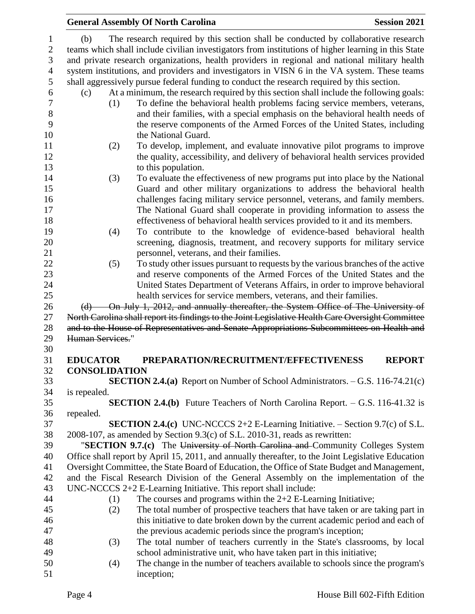|              |                      | <b>General Assembly Of North Carolina</b>                                                           | <b>Session 2021</b> |
|--------------|----------------------|-----------------------------------------------------------------------------------------------------|---------------------|
| (b)          |                      | The research required by this section shall be conducted by collaborative research                  |                     |
|              |                      | teams which shall include civilian investigators from institutions of higher learning in this State |                     |
|              |                      | and private research organizations, health providers in regional and national military health       |                     |
|              |                      |                                                                                                     |                     |
|              |                      | system institutions, and providers and investigators in VISN 6 in the VA system. These teams        |                     |
|              |                      | shall aggressively pursue federal funding to conduct the research required by this section.         |                     |
| (c)          |                      | At a minimum, the research required by this section shall include the following goals:              |                     |
|              | (1)                  | To define the behavioral health problems facing service members, veterans,                          |                     |
|              |                      | and their families, with a special emphasis on the behavioral health needs of                       |                     |
|              |                      | the reserve components of the Armed Forces of the United States, including                          |                     |
|              |                      | the National Guard.                                                                                 |                     |
|              | (2)                  | To develop, implement, and evaluate innovative pilot programs to improve                            |                     |
|              |                      | the quality, accessibility, and delivery of behavioral health services provided                     |                     |
|              |                      | to this population.                                                                                 |                     |
|              | (3)                  | To evaluate the effectiveness of new programs put into place by the National                        |                     |
|              |                      | Guard and other military organizations to address the behavioral health                             |                     |
|              |                      | challenges facing military service personnel, veterans, and family members.                         |                     |
|              |                      | The National Guard shall cooperate in providing information to assess the                           |                     |
|              |                      | effectiveness of behavioral health services provided to it and its members.                         |                     |
|              | (4)                  | To contribute to the knowledge of evidence-based behavioral health                                  |                     |
|              |                      | screening, diagnosis, treatment, and recovery supports for military service                         |                     |
|              |                      | personnel, veterans, and their families.                                                            |                     |
|              | (5)                  | To study other issues pursuant to requests by the various branches of the active                    |                     |
|              |                      | and reserve components of the Armed Forces of the United States and the                             |                     |
|              |                      | United States Department of Veterans Affairs, in order to improve behavioral                        |                     |
|              |                      | health services for service members, veterans, and their families.                                  |                     |
|              |                      | (d) On July 1, 2012, and annually thereafter, the System Office of The University of                |                     |
|              |                      | North Carolina shall report its findings to the Joint Legislative Health Care Oversight Committee   |                     |
|              |                      | and to the House of Representatives and Senate Appropriations Subcommittees on Health and           |                     |
|              | Human Services."     |                                                                                                     |                     |
|              |                      |                                                                                                     |                     |
|              | <b>EDUCATOR</b>      | PREPARATION/RECRUITMENT/EFFECTIVENESS                                                               | <b>REPORT</b>       |
|              | <b>CONSOLIDATION</b> |                                                                                                     |                     |
|              |                      | SECTION 2.4.(a) Report on Number of School Administrators. - G.S. 116-74.21(c)                      |                     |
| is repealed. |                      |                                                                                                     |                     |
|              |                      | <b>SECTION 2.4.(b)</b> Future Teachers of North Carolina Report. $-$ G.S. 116-41.32 is              |                     |
| repealed.    |                      |                                                                                                     |                     |
|              |                      | <b>SECTION 2.4.(c)</b> UNC-NCCCS 2+2 E-Learning Initiative. $-$ Section 9.7(c) of S.L.              |                     |
|              |                      | 2008-107, as amended by Section 9.3(c) of S.L. 2010-31, reads as rewritten:                         |                     |
|              |                      | "SECTION 9.7.(c) The University of North Carolina and Community Colleges System                     |                     |
|              |                      | Office shall report by April 15, 2011, and annually thereafter, to the Joint Legislative Education  |                     |
|              |                      | Oversight Committee, the State Board of Education, the Office of State Budget and Management,       |                     |
|              |                      | and the Fiscal Research Division of the General Assembly on the implementation of the               |                     |
|              |                      | $UNC-NCCCS 2+2 E-Learning Initiative. This report shall include:$                                   |                     |
|              | (1)                  | The courses and programs within the $2+2$ E-Learning Initiative;                                    |                     |
|              | (2)                  | The total number of prospective teachers that have taken or are taking part in                      |                     |
|              |                      | this initiative to date broken down by the current academic period and each of                      |                     |
|              |                      | the previous academic periods since the program's inception;                                        |                     |
|              | (3)                  | The total number of teachers currently in the State's classrooms, by local                          |                     |
|              |                      | school administrative unit, who have taken part in this initiative;                                 |                     |
|              | (4)                  | The change in the number of teachers available to schools since the program's                       |                     |
|              |                      | inception;                                                                                          |                     |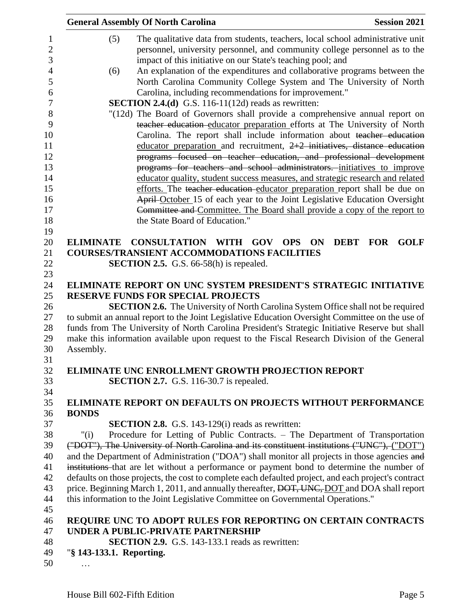|                          | <b>General Assembly Of North Carolina</b>                                                                    | <b>Session 2021</b>                      |
|--------------------------|--------------------------------------------------------------------------------------------------------------|------------------------------------------|
| (5)                      | The qualitative data from students, teachers, local school administrative unit                               |                                          |
|                          | personnel, university personnel, and community college personnel as to the                                   |                                          |
|                          | impact of this initiative on our State's teaching pool; and                                                  |                                          |
| (6)                      | An explanation of the expenditures and collaborative programs between the                                    |                                          |
|                          | North Carolina Community College System and The University of North                                          |                                          |
|                          | Carolina, including recommendations for improvement."                                                        |                                          |
|                          | <b>SECTION 2.4.(d)</b> G.S. 116-11(12d) reads as rewritten:                                                  |                                          |
|                          | "(12d) The Board of Governors shall provide a comprehensive annual report on                                 |                                          |
|                          | teacher education educator preparation efforts at The University of North                                    |                                          |
|                          | Carolina. The report shall include information about teacher education                                       |                                          |
|                          | educator preparation and recruitment, $2+2$ initiatives, distance education                                  |                                          |
|                          | programs focused on teacher education, and professional development                                          |                                          |
|                          | programs for teachers and school administrators. initiatives to improve                                      |                                          |
|                          | educator quality, student success measures, and strategic research and related                               |                                          |
|                          | efforts. The teacher education educator preparation report shall be due on                                   |                                          |
|                          | April-October 15 of each year to the Joint Legislative Education Oversight                                   |                                          |
|                          | Committee and Committee. The Board shall provide a copy of the report to                                     |                                          |
|                          | the State Board of Education."                                                                               |                                          |
|                          |                                                                                                              |                                          |
| <b>ELIMINATE</b>         | <b>CONSULTATION</b><br><b>WITH</b><br><b>GOV</b><br><b>OPS</b><br><b>ON</b>                                  | <b>DEBT</b><br><b>FOR</b><br><b>GOLF</b> |
|                          | <b>COURSES/TRANSIENT ACCOMMODATIONS FACILITIES</b>                                                           |                                          |
|                          | <b>SECTION 2.5.</b> G.S. $66-58(h)$ is repealed.                                                             |                                          |
|                          |                                                                                                              |                                          |
|                          | ELIMINATE REPORT ON UNC SYSTEM PRESIDENT'S STRATEGIC INITIATIVE<br><b>RESERVE FUNDS FOR SPECIAL PROJECTS</b> |                                          |
|                          | <b>SECTION 2.6.</b> The University of North Carolina System Office shall not be required                     |                                          |
|                          | to submit an annual report to the Joint Legislative Education Oversight Committee on the use of              |                                          |
|                          | funds from The University of North Carolina President's Strategic Initiative Reserve but shall               |                                          |
|                          | make this information available upon request to the Fiscal Research Division of the General                  |                                          |
| Assembly.                |                                                                                                              |                                          |
|                          |                                                                                                              |                                          |
|                          | <b>ELIMINATE UNC ENROLLMENT GROWTH PROJECTION REPORT</b>                                                     |                                          |
|                          | <b>SECTION 2.7.</b> G.S. 116-30.7 is repealed.                                                               |                                          |
|                          |                                                                                                              |                                          |
|                          | <b>ELIMINATE REPORT ON DEFAULTS ON PROJECTS WITHOUT PERFORMANCE</b>                                          |                                          |
| <b>BONDS</b>             |                                                                                                              |                                          |
|                          | <b>SECTION 2.8.</b> G.S. 143-129(i) reads as rewritten:                                                      |                                          |
| "(i)                     | Procedure for Letting of Public Contracts. – The Department of Transportation                                |                                          |
|                          | ("DOT"), The University of North Carolina and its constituent institutions ("UNC"), ("DOT")                  |                                          |
|                          | and the Department of Administration ("DOA") shall monitor all projects in those agencies and                |                                          |
|                          | institutions that are let without a performance or payment bond to determine the number of                   |                                          |
|                          | defaults on those projects, the cost to complete each defaulted project, and each project's contract         |                                          |
|                          | price. Beginning March 1, 2011, and annually thereafter, DOT, UNC, DOT and DOA shall report                  |                                          |
|                          | this information to the Joint Legislative Committee on Governmental Operations."                             |                                          |
|                          |                                                                                                              |                                          |
|                          | REQUIRE UNC TO ADOPT RULES FOR REPORTING ON CERTAIN CONTRACTS                                                |                                          |
|                          | UNDER A PUBLIC-PRIVATE PARTNERSHIP                                                                           |                                          |
|                          | <b>SECTION 2.9.</b> G.S. 143-133.1 reads as rewritten:                                                       |                                          |
| "§ 143-133.1. Reporting. |                                                                                                              |                                          |
|                          |                                                                                                              |                                          |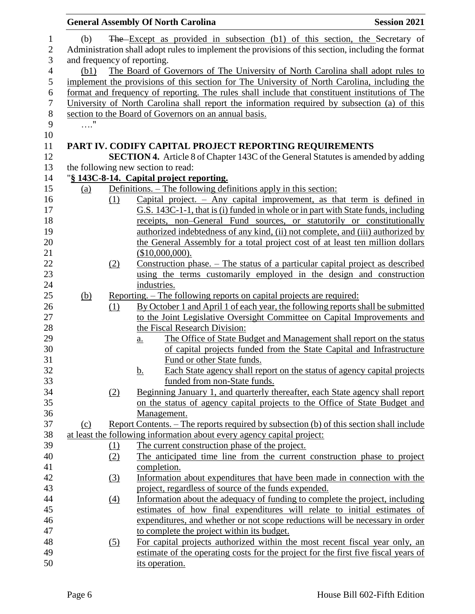|            |                  | <b>General Assembly Of North Carolina</b>                                                          | <b>Session 2021</b> |
|------------|------------------|----------------------------------------------------------------------------------------------------|---------------------|
| (b)        |                  | The Except as provided in subsection (b1) of this section, the Secretary of                        |                     |
|            |                  | Administration shall adopt rules to implement the provisions of this section, including the format |                     |
|            |                  | and frequency of reporting.                                                                        |                     |
| (b1)       |                  | The Board of Governors of The University of North Carolina shall adopt rules to                    |                     |
|            |                  | implement the provisions of this section for The University of North Carolina, including the       |                     |
|            |                  | format and frequency of reporting. The rules shall include that constituent institutions of The    |                     |
|            |                  | University of North Carolina shall report the information required by subsection (a) of this       |                     |
|            |                  | section to the Board of Governors on an annual basis.                                              |                     |
| $\ldots$ " |                  |                                                                                                    |                     |
|            |                  |                                                                                                    |                     |
|            |                  | PART IV. CODIFY CAPITAL PROJECT REPORTING REQUIREMENTS                                             |                     |
|            |                  | <b>SECTION 4.</b> Article 8 of Chapter 143C of the General Statutes is amended by adding           |                     |
|            |                  | the following new section to read:                                                                 |                     |
|            |                  | "§ 143C-8-14. Capital project reporting.                                                           |                     |
| (a)        |                  | Definitions. - The following definitions apply in this section:                                    |                     |
|            | (1)              | Capital project. $-$ Any capital improvement, as that term is defined in                           |                     |
|            |                  | G.S. 143C-1-1, that is (i) funded in whole or in part with State funds, including                  |                     |
|            |                  | receipts, non-General Fund sources, or statutorily or constitutionally                             |                     |
|            |                  | authorized indebtedness of any kind, (ii) not complete, and (iii) authorized by                    |                     |
|            |                  | the General Assembly for a total project cost of at least ten million dollars                      |                     |
|            |                  | (\$10,000,000).                                                                                    |                     |
|            | (2)              | Construction phase. – The status of a particular capital project as described                      |                     |
|            |                  | using the terms customarily employed in the design and construction                                |                     |
|            |                  | industries.                                                                                        |                     |
| <u>(b)</u> |                  | <u>Reporting. – The following reports on capital projects are required:</u>                        |                     |
|            | $\Omega$         | By October 1 and April 1 of each year, the following reports shall be submitted                    |                     |
|            |                  | to the Joint Legislative Oversight Committee on Capital Improvements and                           |                     |
|            |                  | the Fiscal Research Division:                                                                      |                     |
|            |                  | The Office of State Budget and Management shall report on the status<br>$a_{\cdot}$                |                     |
|            |                  | of capital projects funded from the State Capital and Infrastructure                               |                     |
|            |                  | Fund or other State funds.                                                                         |                     |
|            |                  | Each State agency shall report on the status of agency capital projects<br><u>b.</u>               |                     |
|            |                  | funded from non-State funds.                                                                       |                     |
|            | (2)              | Beginning January 1, and quarterly thereafter, each State agency shall report                      |                     |
|            |                  | on the status of agency capital projects to the Office of State Budget and                         |                     |
|            |                  | Management.                                                                                        |                     |
| (c)        |                  | Report Contents. – The reports required by subsection (b) of this section shall include            |                     |
|            |                  | at least the following information about every agency capital project:                             |                     |
|            | (1)              | The current construction phase of the project.                                                     |                     |
|            | (2)              | The anticipated time line from the current construction phase to project                           |                     |
|            |                  | completion.                                                                                        |                     |
|            | <u>(3)</u>       | Information about expenditures that have been made in connection with the                          |                     |
|            |                  | project, regardless of source of the funds expended.                                               |                     |
|            | $\left(4\right)$ | Information about the adequacy of funding to complete the project, including                       |                     |
|            |                  | estimates of how final expenditures will relate to initial estimates of                            |                     |
|            |                  | expenditures, and whether or not scope reductions will be necessary in order                       |                     |
|            |                  | to complete the project within its budget.                                                         |                     |
|            | (5)              | For capital projects authorized within the most recent fiscal year only, an                        |                     |
|            |                  | estimate of the operating costs for the project for the first five fiscal years of                 |                     |
|            |                  | its operation.                                                                                     |                     |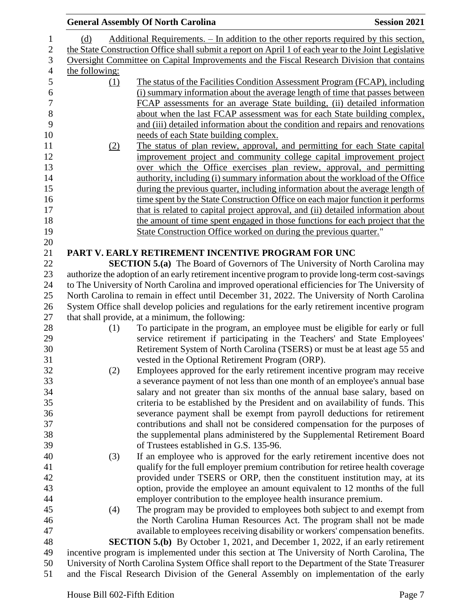|                | <b>General Assembly Of North Carolina</b>                                                            | <b>Session 2021</b> |
|----------------|------------------------------------------------------------------------------------------------------|---------------------|
| (d)            | Additional Requirements. - In addition to the other reports required by this section,                |                     |
|                | the State Construction Office shall submit a report on April 1 of each year to the Joint Legislative |                     |
|                | Oversight Committee on Capital Improvements and the Fiscal Research Division that contains           |                     |
| the following: |                                                                                                      |                     |
| (1)            | The status of the Facilities Condition Assessment Program (FCAP), including                          |                     |
|                | (i) summary information about the average length of time that passes between                         |                     |
|                | FCAP assessments for an average State building, (ii) detailed information                            |                     |
|                | about when the last FCAP assessment was for each State building complex,                             |                     |
|                | and (iii) detailed information about the condition and repairs and renovations                       |                     |
|                | needs of each State building complex.                                                                |                     |
|                | The status of plan review, approval, and permitting for each State capital                           |                     |
| (2)            | improvement project and community college capital improvement project                                |                     |
|                |                                                                                                      |                     |
|                | over which the Office exercises plan review, approval, and permitting                                |                     |
|                | authority, including (i) summary information about the workload of the Office                        |                     |
|                | during the previous quarter, including information about the average length of                       |                     |
|                | time spent by the State Construction Office on each major function it performs                       |                     |
|                | that is related to capital project approval, and (ii) detailed information about                     |                     |
|                | the amount of time spent engaged in those functions for each project that the                        |                     |
|                | State Construction Office worked on during the previous quarter."                                    |                     |
|                |                                                                                                      |                     |
|                | PART V. EARLY RETIREMENT INCENTIVE PROGRAM FOR UNC                                                   |                     |
|                | <b>SECTION 5.(a)</b> The Board of Governors of The University of North Carolina may                  |                     |
|                | authorize the adoption of an early retirement incentive program to provide long-term cost-savings    |                     |
|                | to The University of North Carolina and improved operational efficiencies for The University of      |                     |
|                | North Carolina to remain in effect until December 31, 2022. The University of North Carolina         |                     |
|                | System Office shall develop policies and regulations for the early retirement incentive program      |                     |
|                | that shall provide, at a minimum, the following:                                                     |                     |
| (1)            | To participate in the program, an employee must be eligible for early or full                        |                     |
|                | service retirement if participating in the Teachers' and State Employees'                            |                     |
|                | Retirement System of North Carolina (TSERS) or must be at least age 55 and                           |                     |
|                | vested in the Optional Retirement Program (ORP).                                                     |                     |
| (2)            | Employees approved for the early retirement incentive program may receive                            |                     |
|                | a severance payment of not less than one month of an employee's annual base                          |                     |
|                | salary and not greater than six months of the annual base salary, based on                           |                     |
|                | criteria to be established by the President and on availability of funds. This                       |                     |
|                | severance payment shall be exempt from payroll deductions for retirement                             |                     |
|                | contributions and shall not be considered compensation for the purposes of                           |                     |
|                | the supplemental plans administered by the Supplemental Retirement Board                             |                     |
|                | of Trustees established in G.S. 135-96.                                                              |                     |
| (3)            | If an employee who is approved for the early retirement incentive does not                           |                     |
|                | qualify for the full employer premium contribution for retiree health coverage                       |                     |
|                | provided under TSERS or ORP, then the constituent institution may, at its                            |                     |
|                | option, provide the employee an amount equivalent to 12 months of the full                           |                     |
|                | employer contribution to the employee health insurance premium.                                      |                     |
| (4)            | The program may be provided to employees both subject to and exempt from                             |                     |
|                | the North Carolina Human Resources Act. The program shall not be made                                |                     |
|                | available to employees receiving disability or workers' compensation benefits.                       |                     |
|                | <b>SECTION 5.(b)</b> By October 1, 2021, and December 1, 2022, if an early retirement                |                     |
|                | incentive program is implemented under this section at The University of North Carolina, The         |                     |
|                | University of North Carolina System Office shall report to the Department of the State Treasurer     |                     |
|                | and the Fiscal Research Division of the General Assembly on implementation of the early              |                     |